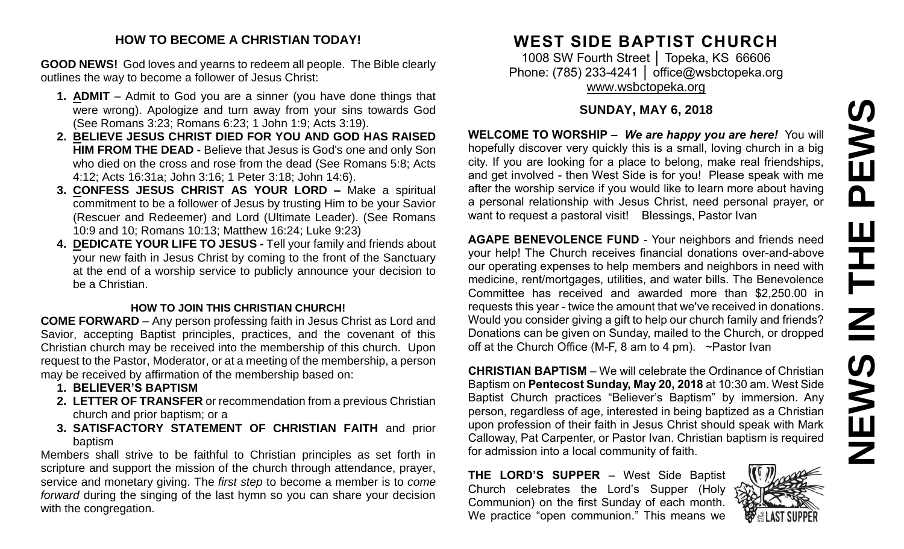### **HOW TO BECOME A CHRISTIAN TODAY!**

**GOOD NEWS!** God loves and yearns to redeem all people. The Bible clearly outlines the way to become a follower of Jesus Christ:

- **1. ADMIT** Admit to God you are a sinner (you have done things that were wrong). Apologize and turn away from your sins towards God (See Romans 3:23; Romans 6:23; 1 John 1:9; Acts 3:19).
- **2. BELIEVE JESUS CHRIST DIED FOR YOU AND GOD HAS RAISED HIM FROM THE DEAD -** Believe that Jesus is God's one and only Son who died on the cross and rose from the dead (See Romans 5:8; Acts 4:12; Acts 16:31a; John 3:16; 1 Peter 3:18; John 14:6).
- **3. CONFESS JESUS CHRIST AS YOUR LORD –** Make a spiritual commitment to be a follower of Jesus by trusting Him to be your Savior (Rescuer and Redeemer) and Lord (Ultimate Leader). (See Romans 10:9 and 10; Romans 10:13; Matthew 16:24; Luke 9:23)
- **4. DEDICATE YOUR LIFE TO JESUS -** Tell your family and friends about your new faith in Jesus Christ by coming to the front of the Sanctuary at the end of a worship service to publicly announce your decision to be a Christian.

### **HOW TO JOIN THIS CHRISTIAN CHURCH!**

**COME FORWARD** – Any person professing faith in Jesus Christ as Lord and Savior, accepting Baptist principles, practices, and the covenant of this Christian church may be received into the membership of this church. Upon request to the Pastor, Moderator, or at a meeting of the membership, a person may be received by affirmation of the membership based on:

- **1. BELIEVER'S BAPTISM**
- **2. LETTER OF TRANSFER** or recommendation from a previous Christian church and prior baptism; or a
- **3. SATISFACTORY STATEMENT OF CHRISTIAN FAITH** and prior baptism

Members shall strive to be faithful to Christian principles as set forth in scripture and support the mission of the church through attendance, prayer, service and monetary giving. The *first step* to become a member is to *come forward* during the singing of the last hymn so you can share your decision with the congregation.

# **WEST SIDE BAPTIST CHURCH**

1008 SW Fourth Street │ Topeka, KS 66606 Phone: (785) 233-4241 | [office@wsbctopeka.org](mailto:office@wsbctopeka.org) [www.wsbctopeka.org](http://www.wsbctopeka.org/)

## **SUNDAY, MAY 6, 2018**

**WELCOME TO WORSHIP –** *We are happy you are here!* You will hopefully discover very quickly this is a small, loving church in a big city. If you are looking for a place to belong, make real friendships, and get involved - then West Side is for you! Please speak with me after the worship service if you would like to learn more about having a personal relationship with Jesus Christ, need personal prayer, or want to request a pastoral visit! Blessings, Pastor Ivan

**AGAPE BENEVOLENCE FUND** - Your neighbors and friends need your help! The Church receives financial donations over-and-above our operating expenses to help members and neighbors in need with medicine, rent/mortgages, utilities, and water bills. The Benevolence Committee has received and awarded more than \$2,250.00 in requests this year - twice the amount that we've received in donations. Would you consider giving a gift to help our church family and friends? Donations can be given on Sunday, mailed to the Church, or dropped off at the Church Office (M-F, 8 am to 4 pm). ~Pastor Ivan

**CHRISTIAN BAPTISM** – We will celebrate the Ordinance of Christian Baptism on **Pentecost Sunday, May 20, 2018** at 10:30 am. West Side Baptist Church practices "Believer's Baptism" by immersion. Any person, regardless of age, interested in being baptized as a Christian upon profession of their faith in Jesus Christ should speak with Mark Calloway, Pat Carpenter, or Pastor Ivan. Christian baptism is required for admission into a local community of faith.

**THE LORD'S SUPPER** – West Side Baptist Church celebrates the Lord's Supper (Holy Communion) on the first Sunday of each month. We practice "open communion." This means we

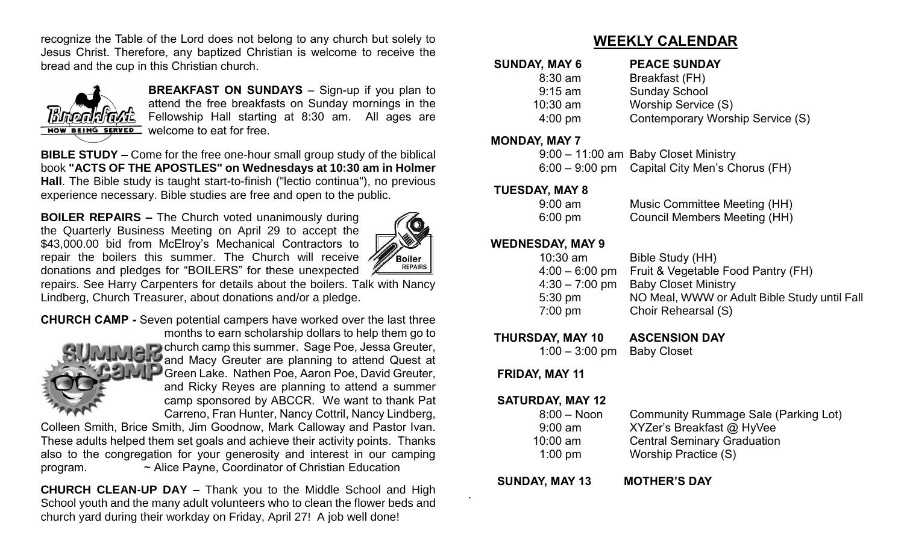recognize the Table of the Lord does not belong to any church but solely to Jesus Christ. Therefore, any baptized Christian is welcome to receive the bread and the cup in this Christian church.



**BREAKFAST ON SUNDAYS** – Sign-up if you plan to attend the free breakfasts on Sunday mornings in the Fellowship Hall starting at 8:30 am. All ages are NOW BEING SERVED Welcome to eat for free.

**BIBLE STUDY –** Come for the free one-hour small group study of the biblical book **"ACTS OF THE APOSTLES" on Wednesdays at 10:30 am in Holmer Hall**. The Bible study is taught start-to-finish ("lectio continua"), no previous experience necessary. Bible studies are free and open to the public.

**BOILER REPAIRS –** The Church voted unanimously during the Quarterly Business Meeting on April 29 to accept the \$43,000.00 bid from McElroy's Mechanical Contractors to repair the boilers this summer. The Church will receive donations and pledges for "BOILERS" for these unexpected



repairs. See Harry Carpenters for details about the boilers. Talk with Nancy Lindberg, Church Treasurer, about donations and/or a pledge.

**CHURCH CAMP -** Seven potential campers have worked over the last three months to earn scholarship dollars to help them go to church camp this summer. Sage Poe, Jessa Greuter, and Macy Greuter are planning to attend Quest at Green Lake. Nathen Poe, Aaron Poe, David Greuter, and Ricky Reyes are planning to attend a summer camp sponsored by ABCCR. We want to thank Pat Carreno, Fran Hunter, Nancy Cottril, Nancy Lindberg,

Colleen Smith, Brice Smith, Jim Goodnow, Mark Calloway and Pastor Ivan. These adults helped them set goals and achieve their activity points. Thanks also to the congregation for your generosity and interest in our camping program. ~ Alice Payne, Coordinator of Christian Education

**CHURCH CLEAN-UP DAY –** Thank you to the Middle School and High School youth and the many adult volunteers who to clean the flower beds and church yard during their workday on Friday, April 27! A job well done!

# **WEEKLY CALENDAR**

| Breakfast (FH)<br>$8:30$ am                           |
|-------------------------------------------------------|
| <b>Sunday School</b><br>$9:15$ am                     |
| <b>Worship Service (S)</b><br>$10:30$ am              |
| Contemporary Worship Service (S)<br>$4:00 \text{ pm}$ |

### **MONDAY, MAY 7**

| 9:00 - 11:00 am Baby Closet Ministry          |  |
|-----------------------------------------------|--|
| 6:00 – 9:00 pm Capital City Men's Chorus (FH) |  |

### **TUESDAY, MAY 8**

| $9:00$ am         | Music Committee Meeting (HH)        |
|-------------------|-------------------------------------|
| $6:00 \text{ pm}$ | <b>Council Members Meeting (HH)</b> |

### **WEDNESDAY, MAY 9**

| $10:30$ am       | Bible Study (HH)                             |
|------------------|----------------------------------------------|
| $4:00 - 6:00$ pm | Fruit & Vegetable Food Pantry (FH)           |
| $4:30 - 7:00$ pm | <b>Baby Closet Ministry</b>                  |
| $5:30$ pm        | NO Meal, WWW or Adult Bible Study until Fall |
| $7:00$ pm        | Choir Rehearsal (S)                          |
|                  |                                              |

 **THURSDAY, MAY 10 ASCENSION DAY** 

1:00 – 3:00 pm Baby Closet

## **FRIDAY, MAY 11**

### **SATURDAY, MAY 12**

| Community Rummage Sale (Parking Lot) |
|--------------------------------------|
| XYZer's Breakfast @ HyVee            |
| <b>Central Seminary Graduation</b>   |
| Worship Practice (S)                 |
|                                      |

 **SUNDAY, MAY 13 MOTHER'S DAY** 

.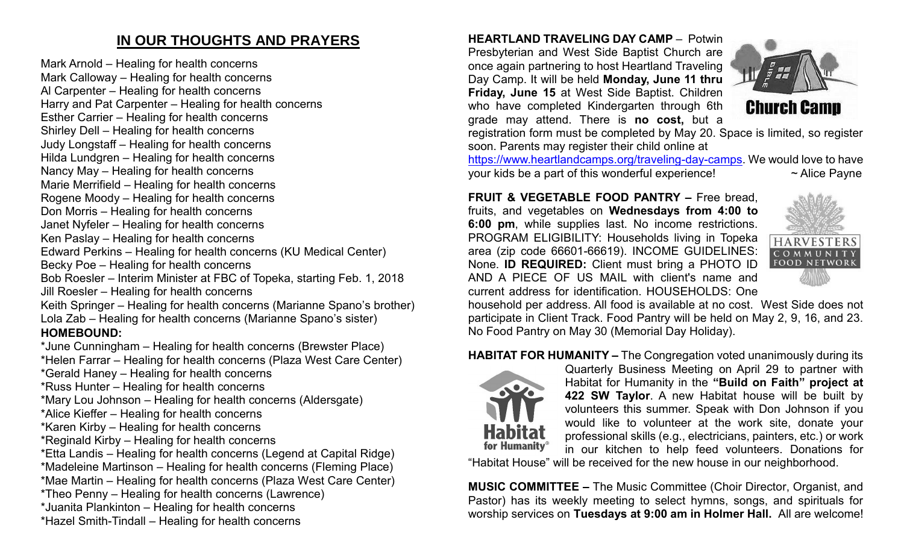# **IN OUR THOUGHTS AND PRAYERS**

Mark Arnold – Healing for health concerns Mark Calloway – Healing for health concerns Al Carpenter – Healing for health concerns Harry and Pat Carpenter – Healing for health concerns Esther Carrier – Healing for health concerns Shirley Dell – Healing for health concerns

Judy Longstaff – Healing for health concerns

Hilda Lundgren – Healing for health concerns

Nancy May – Healing for health concerns

Marie Merrifield – Healing for health concerns

- Rogene Moody Healing for health concerns Don Morris – Healing for health concerns
- 
- Janet Nyfeler Healing for health concerns

Ken Paslay – Healing for health concerns

Edward Perkins – Healing for health concerns (KU Medical Center)

Becky Poe – Healing for health concerns

Bob Roesler – Interim Minister at FBC of Topeka, starting Feb. 1, 2018 Jill Roesler – Healing for health concerns

Keith Springer – Healing for health concerns (Marianne Spano's brother) Lola Zab – Healing for health concerns (Marianne Spano's sister) **HOMEBOUND:**

\*June Cunningham – Healing for health concerns (Brewster Place) \*Helen Farrar – Healing for health concerns (Plaza West Care Center)

\*Gerald Haney – Healing for health concerns

\*Russ Hunter – Healing for health concerns

\*Mary Lou Johnson – Healing for health concerns (Aldersgate)

\*Alice Kieffer – Healing for health concerns

\*Karen Kirby – Healing for health concerns

\*Reginald Kirby – Healing for health concerns

\*Etta Landis – Healing for health concerns (Legend at Capital Ridge)

\*Madeleine Martinson – Healing for health concerns (Fleming Place)

\*Mae Martin – Healing for health concerns (Plaza West Care Center)

\*Theo Penny – Healing for health concerns (Lawrence)

\*Juanita Plankinton – Healing for health concerns

\*Hazel Smith-Tindall – Healing for health concerns

**HEARTLAND TRAVELING DAY CAMP** –Potwin Presbyterian and West Side Baptist Church are once again partnering to host Heartland Traveling Day Camp. It will be held **Monday, June 11 thru Friday, June 15** at West Side Baptist. Children who have completed Kindergarten through 6th grade may attend. There is **no cost,** but a



registration form must be completed by May 20. Space is limited, so register soon. Parents may register their child online at

[https://www.heartlandcamps.org/traveling-day-camps.](https://www.heartlandcamps.org/traveling-day-camps) We would love to have your kids be a part of this wonderful experience!  $\sim$  Alice Payne

**FRUIT & VEGETABLE FOOD PANTRY –** Free bread, fruits, and vegetables on **Wednesdays from 4:00 to 6:00 pm**, while supplies last. No income restrictions. PROGRAM ELIGIBILITY: Households living in Topeka area (zip code 66601-66619). INCOME GUIDELINES: None. **ID REQUIRED:** Client must bring a PHOTO ID AND A PIECE OF US MAIL with client's name and current address for identification. HOUSEHOLDS: One



household per address. All food is available at no cost. West Side does not participate in Client Track. Food Pantry will be held on May 2, 9, 16, and 23. No Food Pantry on May 30 (Memorial Day Holiday).

### **HABITAT FOR HUMANITY –** The Congregation voted unanimously during its



Quarterly Business Meeting on April 29 to partner with Habitat for Humanity in the **"Build on Faith" project at 422 SW Taylor**. A new Habitat house will be built by volunteers this summer. Speak with Don Johnson if you would like to volunteer at the work site, donate your professional skills (e.g., electricians, painters, etc.) or work in our kitchen to help feed volunteers. Donations for

"Habitat House" will be received for the new house in our neighborhood.

**MUSIC COMMITTEE –** The Music Committee (Choir Director, Organist, and Pastor) has its weekly meeting to select hymns, songs, and spirituals for worship services on **Tuesdays at 9:00 am in Holmer Hall.** All are welcome!